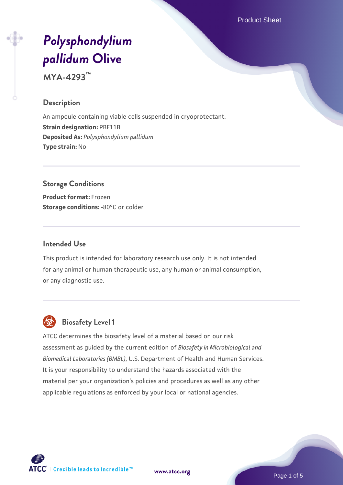Product Sheet

# *[Polysphondylium](https://www.atcc.org/products/mya-4293) [pallidum](https://www.atcc.org/products/mya-4293)* **[Olive](https://www.atcc.org/products/mya-4293)**

**MYA-4293™**

# **Description**

An ampoule containing viable cells suspended in cryoprotectant. **Strain designation:** PBF11B **Deposited As:** *Polysphondylium pallidum* **Type strain:** No

# **Storage Conditions**

**Product format:** Frozen **Storage conditions: -80°C or colder** 

# **Intended Use**

This product is intended for laboratory research use only. It is not intended for any animal or human therapeutic use, any human or animal consumption, or any diagnostic use.



# **Biosafety Level 1**

ATCC determines the biosafety level of a material based on our risk assessment as guided by the current edition of *Biosafety in Microbiological and Biomedical Laboratories (BMBL)*, U.S. Department of Health and Human Services. It is your responsibility to understand the hazards associated with the material per your organization's policies and procedures as well as any other applicable regulations as enforced by your local or national agencies.



**[www.atcc.org](http://www.atcc.org)**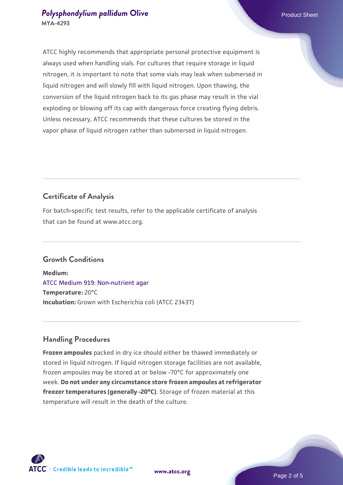ATCC highly recommends that appropriate personal protective equipment is always used when handling vials. For cultures that require storage in liquid nitrogen, it is important to note that some vials may leak when submersed in liquid nitrogen and will slowly fill with liquid nitrogen. Upon thawing, the conversion of the liquid nitrogen back to its gas phase may result in the vial exploding or blowing off its cap with dangerous force creating flying debris. Unless necessary, ATCC recommends that these cultures be stored in the vapor phase of liquid nitrogen rather than submersed in liquid nitrogen.

# **Certificate of Analysis**

For batch-specific test results, refer to the applicable certificate of analysis that can be found at www.atcc.org.

# **Growth Conditions**

**Medium:**  [ATCC Medium 919: Non-nutrient agar](https://www.atcc.org/-/media/product-assets/documents/microbial-media-formulations/9/1/9/atcc-medium-919.pdf?rev=f4e1e31d2b4249c2a4e4c31a4c703c9e) **Temperature:** 20°C **Incubation:** Grown with Escherichia coli (ATCC 23437)

# **Handling Procedures**

**Frozen ampoules** packed in dry ice should either be thawed immediately or stored in liquid nitrogen. If liquid nitrogen storage facilities are not available, frozen ampoules may be stored at or below -70°C for approximately one week. **Do not under any circumstance store frozen ampoules at refrigerator freezer temperatures (generally -20°C)**. Storage of frozen material at this temperature will result in the death of the culture.

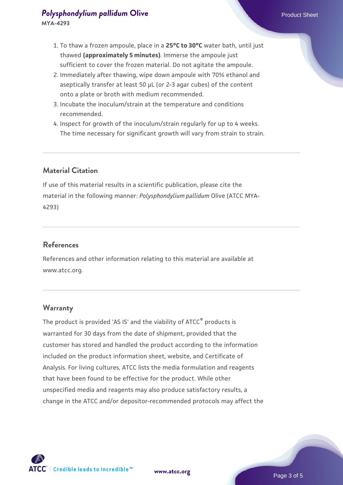- 2. Immediately after thawing, wipe down ampoule with 70% ethanol and aseptically transfer at least 50 µL (or 2-3 agar cubes) of the content onto a plate or broth with medium recommended.
- 3. Incubate the inoculum/strain at the temperature and conditions recommended.
- 4. Inspect for growth of the inoculum/strain regularly for up to 4 weeks. The time necessary for significant growth will vary from strain to strain.

# **Material Citation**

If use of this material results in a scientific publication, please cite the material in the following manner: *Polysphondylium pallidum* Olive (ATCC MYA-4293)

# **References**

References and other information relating to this material are available at www.atcc.org.

#### **Warranty**

The product is provided 'AS IS' and the viability of ATCC® products is warranted for 30 days from the date of shipment, provided that the customer has stored and handled the product according to the information included on the product information sheet, website, and Certificate of Analysis. For living cultures, ATCC lists the media formulation and reagents that have been found to be effective for the product. While other unspecified media and reagents may also produce satisfactory results, a change in the ATCC and/or depositor-recommended protocols may affect the

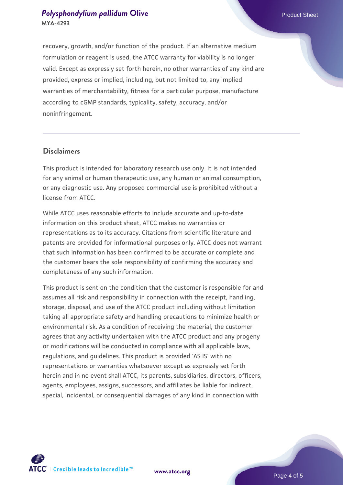recovery, growth, and/or function of the product. If an alternative medium formulation or reagent is used, the ATCC warranty for viability is no longer valid. Except as expressly set forth herein, no other warranties of any kind are provided, express or implied, including, but not limited to, any implied warranties of merchantability, fitness for a particular purpose, manufacture according to cGMP standards, typicality, safety, accuracy, and/or noninfringement.

#### **Disclaimers**

This product is intended for laboratory research use only. It is not intended for any animal or human therapeutic use, any human or animal consumption, or any diagnostic use. Any proposed commercial use is prohibited without a license from ATCC.

While ATCC uses reasonable efforts to include accurate and up-to-date information on this product sheet, ATCC makes no warranties or representations as to its accuracy. Citations from scientific literature and patents are provided for informational purposes only. ATCC does not warrant that such information has been confirmed to be accurate or complete and the customer bears the sole responsibility of confirming the accuracy and completeness of any such information.

This product is sent on the condition that the customer is responsible for and assumes all risk and responsibility in connection with the receipt, handling, storage, disposal, and use of the ATCC product including without limitation taking all appropriate safety and handling precautions to minimize health or environmental risk. As a condition of receiving the material, the customer agrees that any activity undertaken with the ATCC product and any progeny or modifications will be conducted in compliance with all applicable laws, regulations, and guidelines. This product is provided 'AS IS' with no representations or warranties whatsoever except as expressly set forth herein and in no event shall ATCC, its parents, subsidiaries, directors, officers, agents, employees, assigns, successors, and affiliates be liable for indirect, special, incidental, or consequential damages of any kind in connection with



**[www.atcc.org](http://www.atcc.org)**

Page 4 of 5